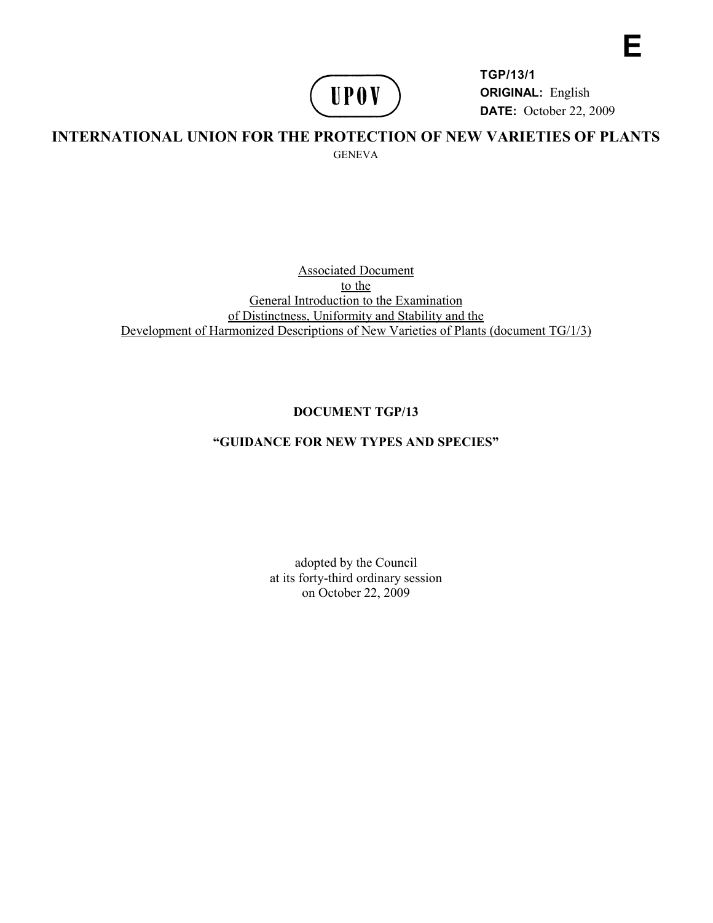# **UPOV**

**TGP/13/1 ORIGINAL:** English **DATE:** October 22, 2009 **E** 

# **INTERNATIONAL UNION FOR THE PROTECTION OF NEW VARIETIES OF PLANTS**  GENEVA

#### Associated Document to the General Introduction to the Examination of Distinctness, Uniformity and Stability and the Development of Harmonized Descriptions of New Varieties of Plants (document TG/1/3)

# **DOCUMENT TGP/13**

# **"GUIDANCE FOR NEW TYPES AND SPECIES"**

adopted by the Council at its forty-third ordinary session on October 22, 2009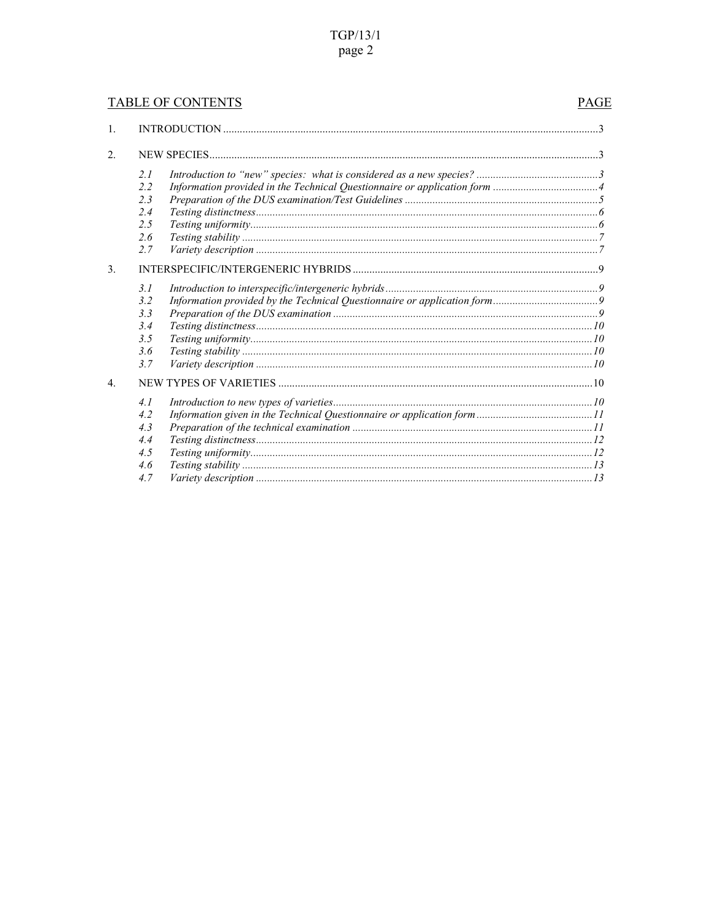# $TGP/13/1$ page 2

# **TABLE OF CONTENTS**

#### PAGE

| $\mathbf{1}$ .   |     |  |  |
|------------------|-----|--|--|
| $\overline{2}$ . |     |  |  |
|                  | 2l  |  |  |
|                  | 2.2 |  |  |
|                  | 23  |  |  |
|                  | 2.4 |  |  |
|                  | 2.5 |  |  |
|                  | 2.6 |  |  |
|                  | 2.7 |  |  |
| 3 <sub>1</sub>   |     |  |  |
|                  | 3.1 |  |  |
|                  | 3.2 |  |  |
|                  | 3.3 |  |  |
|                  | 3.4 |  |  |
|                  | 3.5 |  |  |
|                  | 3.6 |  |  |
|                  | 3.7 |  |  |
| $\overline{4}$   |     |  |  |
|                  | 4.1 |  |  |
|                  | 4.2 |  |  |
|                  | 4.3 |  |  |
|                  | 4.4 |  |  |
|                  | 4.5 |  |  |
|                  | 4.6 |  |  |
|                  | 4.7 |  |  |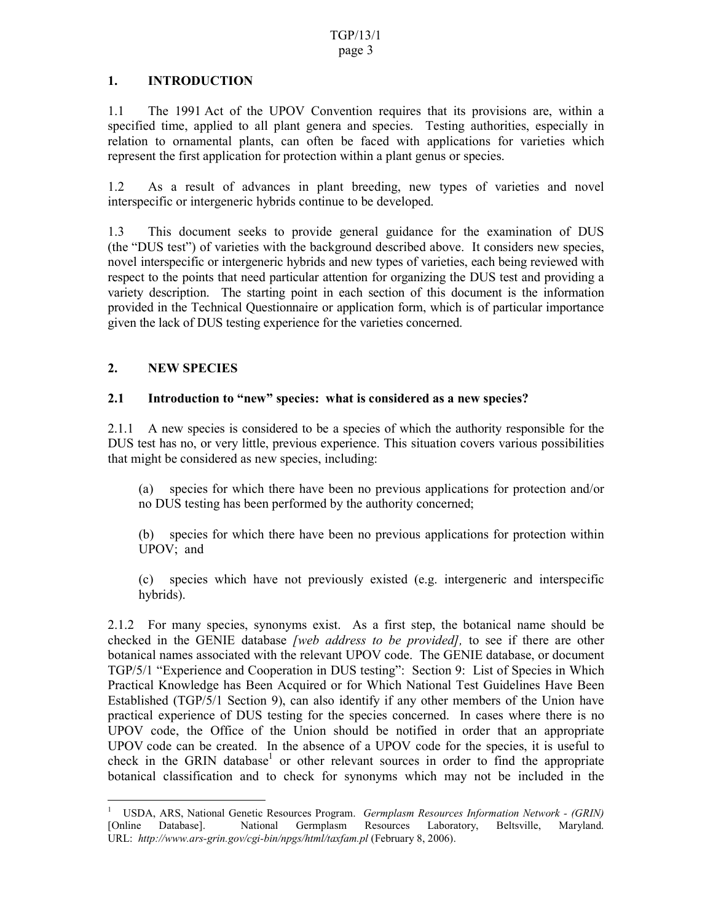#### **1. INTRODUCTION**

1.1 The 1991 Act of the UPOV Convention requires that its provisions are, within a specified time, applied to all plant genera and species. Testing authorities, especially in relation to ornamental plants, can often be faced with applications for varieties which represent the first application for protection within a plant genus or species.

1.2 As a result of advances in plant breeding, new types of varieties and novel interspecific or intergeneric hybrids continue to be developed.

1.3 This document seeks to provide general guidance for the examination of DUS (the "DUS test") of varieties with the background described above. It considers new species, novel interspecific or intergeneric hybrids and new types of varieties, each being reviewed with respect to the points that need particular attention for organizing the DUS test and providing a variety description. The starting point in each section of this document is the information provided in the Technical Questionnaire or application form, which is of particular importance given the lack of DUS testing experience for the varieties concerned.

# **2. NEW SPECIES**

#### **2.1 Introduction to "new" species: what is considered as a new species?**

2.1.1 A new species is considered to be a species of which the authority responsible for the DUS test has no, or very little, previous experience. This situation covers various possibilities that might be considered as new species, including:

(a) species for which there have been no previous applications for protection and/or no DUS testing has been performed by the authority concerned;

(b) species for which there have been no previous applications for protection within UPOV; and

(c) species which have not previously existed (e.g. intergeneric and interspecific hybrids).

2.1.2 For many species, synonyms exist. As a first step, the botanical name should be checked in the GENIE database *[web address to be provided],* to see if there are other botanical names associated with the relevant UPOV code. The GENIE database, or document TGP/5/1 "Experience and Cooperation in DUS testing": Section 9: List of Species in Which Practical Knowledge has Been Acquired or for Which National Test Guidelines Have Been Established (TGP/5/1 Section 9), can also identify if any other members of the Union have practical experience of DUS testing for the species concerned. In cases where there is no UPOV code, the Office of the Union should be notified in order that an appropriate UPOV code can be created. In the absence of a UPOV code for the species, it is useful to check in the GRIN database<sup>1</sup> or other relevant sources in order to find the appropriate botanical classification and to check for synonyms which may not be included in the

 $\overline{a}$ <sup>1</sup> USDA, ARS, National Genetic Resources Program. *Germplasm Resources Information Network - (GRIN)* [Online Database]. National Germplasm Resources Laboratory, Beltsville, Maryland. URL: *http://www.ars-grin.gov/cgi-bin/npgs/html/taxfam.pl* (February 8, 2006).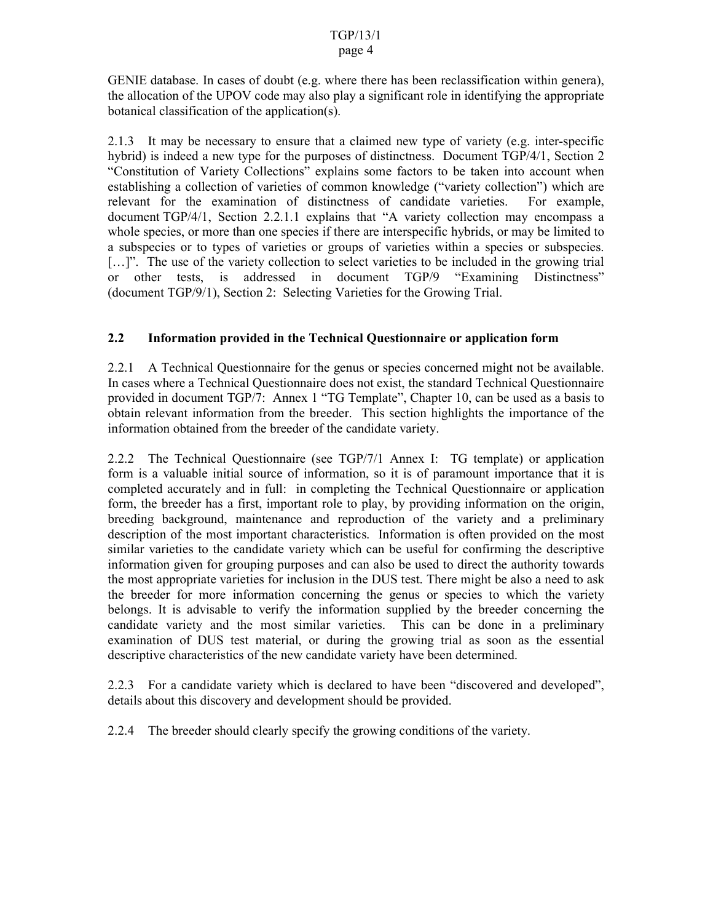GENIE database. In cases of doubt (e.g. where there has been reclassification within genera), the allocation of the UPOV code may also play a significant role in identifying the appropriate botanical classification of the application(s).

2.1.3 It may be necessary to ensure that a claimed new type of variety (e.g. inter-specific hybrid) is indeed a new type for the purposes of distinctness. Document TGP/4/1, Section 2 "Constitution of Variety Collections" explains some factors to be taken into account when establishing a collection of varieties of common knowledge ("variety collection") which are relevant for the examination of distinctness of candidate varieties. For example, document TGP/4/1, Section 2.2.1.1 explains that "A variety collection may encompass a whole species, or more than one species if there are interspecific hybrids, or may be limited to a subspecies or to types of varieties or groups of varieties within a species or subspecies. [...]". The use of the variety collection to select varieties to be included in the growing trial or other tests, is addressed in document TGP/9 "Examining Distinctness" (document TGP/9/1), Section 2: Selecting Varieties for the Growing Trial.

## **2.2 Information provided in the Technical Questionnaire or application form**

2.2.1 A Technical Questionnaire for the genus or species concerned might not be available. In cases where a Technical Questionnaire does not exist, the standard Technical Questionnaire provided in document TGP/7: Annex 1 "TG Template", Chapter 10, can be used as a basis to obtain relevant information from the breeder. This section highlights the importance of the information obtained from the breeder of the candidate variety.

2.2.2 The Technical Questionnaire (see TGP/7/1 Annex I: TG template) or application form is a valuable initial source of information, so it is of paramount importance that it is completed accurately and in full: in completing the Technical Questionnaire or application form, the breeder has a first, important role to play, by providing information on the origin, breeding background, maintenance and reproduction of the variety and a preliminary description of the most important characteristics. Information is often provided on the most similar varieties to the candidate variety which can be useful for confirming the descriptive information given for grouping purposes and can also be used to direct the authority towards the most appropriate varieties for inclusion in the DUS test. There might be also a need to ask the breeder for more information concerning the genus or species to which the variety belongs. It is advisable to verify the information supplied by the breeder concerning the candidate variety and the most similar varieties. This can be done in a preliminary examination of DUS test material, or during the growing trial as soon as the essential descriptive characteristics of the new candidate variety have been determined.

2.2.3 For a candidate variety which is declared to have been "discovered and developed", details about this discovery and development should be provided.

2.2.4 The breeder should clearly specify the growing conditions of the variety.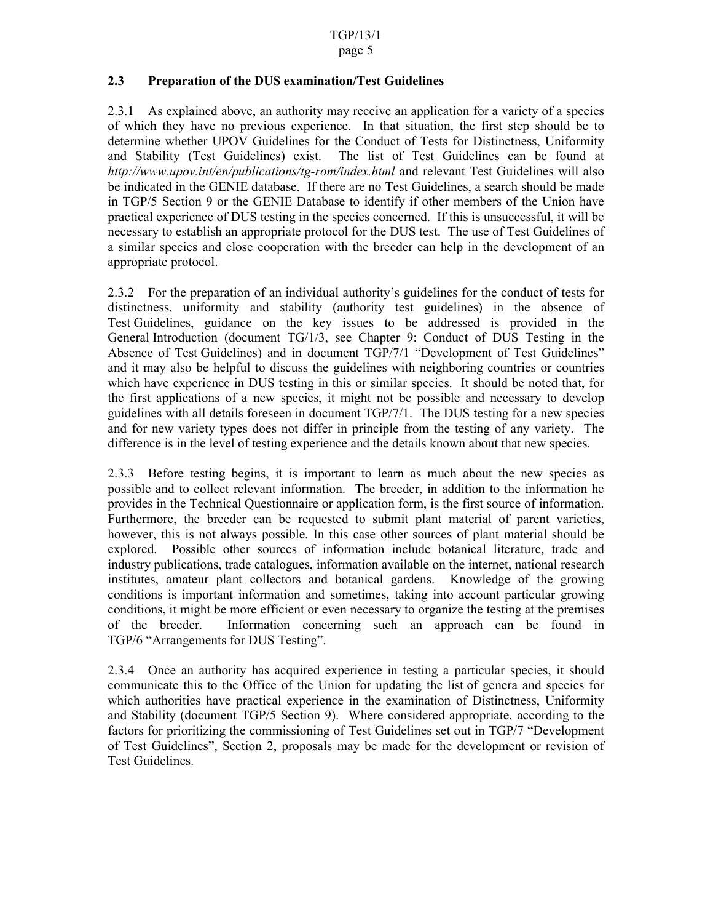#### **2.3 Preparation of the DUS examination/Test Guidelines**

2.3.1 As explained above, an authority may receive an application for a variety of a species of which they have no previous experience. In that situation, the first step should be to determine whether UPOV Guidelines for the Conduct of Tests for Distinctness, Uniformity and Stability (Test Guidelines) exist. The list of Test Guidelines can be found at *http://www.upov.int/en/publications/tg-rom/index.html* and relevant Test Guidelines will also be indicated in the GENIE database. If there are no Test Guidelines, a search should be made in TGP/5 Section 9 or the GENIE Database to identify if other members of the Union have practical experience of DUS testing in the species concerned. If this is unsuccessful, it will be necessary to establish an appropriate protocol for the DUS test. The use of Test Guidelines of a similar species and close cooperation with the breeder can help in the development of an appropriate protocol.

2.3.2 For the preparation of an individual authority's guidelines for the conduct of tests for distinctness, uniformity and stability (authority test guidelines) in the absence of Test Guidelines, guidance on the key issues to be addressed is provided in the General Introduction (document TG/1/3, see Chapter 9: Conduct of DUS Testing in the Absence of Test Guidelines) and in document TGP/7/1 "Development of Test Guidelines" and it may also be helpful to discuss the guidelines with neighboring countries or countries which have experience in DUS testing in this or similar species. It should be noted that, for the first applications of a new species, it might not be possible and necessary to develop guidelines with all details foreseen in document TGP/7/1. The DUS testing for a new species and for new variety types does not differ in principle from the testing of any variety. The difference is in the level of testing experience and the details known about that new species.

2.3.3 Before testing begins, it is important to learn as much about the new species as possible and to collect relevant information. The breeder, in addition to the information he provides in the Technical Questionnaire or application form, is the first source of information. Furthermore, the breeder can be requested to submit plant material of parent varieties, however, this is not always possible. In this case other sources of plant material should be explored. Possible other sources of information include botanical literature, trade and industry publications, trade catalogues, information available on the internet, national research institutes, amateur plant collectors and botanical gardens. Knowledge of the growing conditions is important information and sometimes, taking into account particular growing conditions, it might be more efficient or even necessary to organize the testing at the premises of the breeder. Information concerning such an approach can be found in TGP/6 "Arrangements for DUS Testing".

2.3.4 Once an authority has acquired experience in testing a particular species, it should communicate this to the Office of the Union for updating the list of genera and species for which authorities have practical experience in the examination of Distinctness, Uniformity and Stability (document TGP/5 Section 9). Where considered appropriate, according to the factors for prioritizing the commissioning of Test Guidelines set out in TGP/7 "Development of Test Guidelines", Section 2, proposals may be made for the development or revision of Test Guidelines.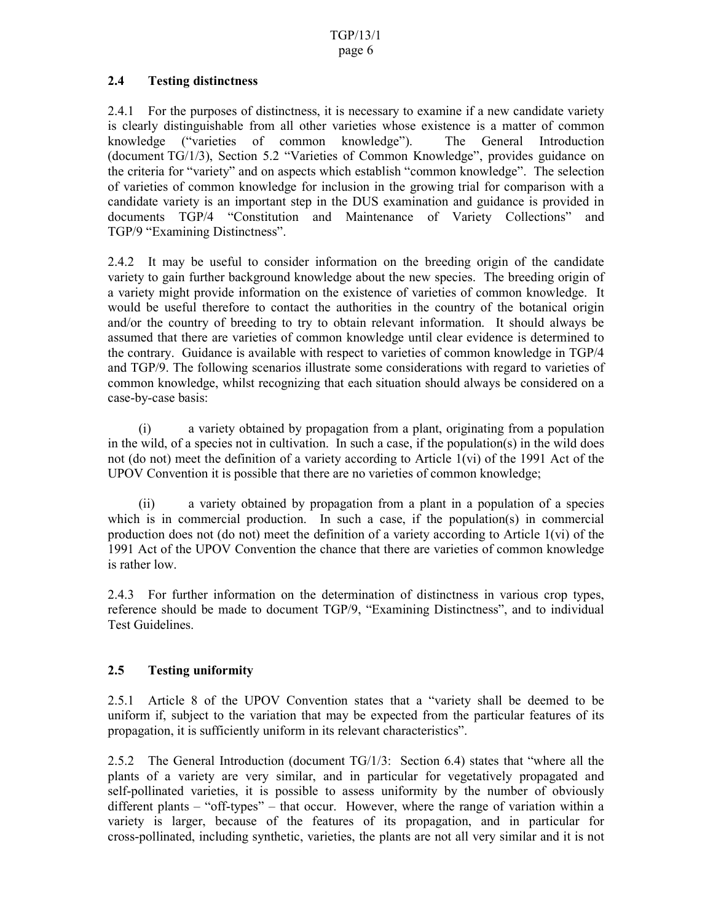#### **2.4 Testing distinctness**

2.4.1 For the purposes of distinctness, it is necessary to examine if a new candidate variety is clearly distinguishable from all other varieties whose existence is a matter of common knowledge ("varieties of common knowledge"). The General Introduction (document TG/1/3), Section 5.2 "Varieties of Common Knowledge", provides guidance on the criteria for "variety" and on aspects which establish "common knowledge". The selection of varieties of common knowledge for inclusion in the growing trial for comparison with a candidate variety is an important step in the DUS examination and guidance is provided in documents TGP/4 "Constitution and Maintenance of Variety Collections" and TGP/9 "Examining Distinctness".

2.4.2 It may be useful to consider information on the breeding origin of the candidate variety to gain further background knowledge about the new species. The breeding origin of a variety might provide information on the existence of varieties of common knowledge. It would be useful therefore to contact the authorities in the country of the botanical origin and/or the country of breeding to try to obtain relevant information. It should always be assumed that there are varieties of common knowledge until clear evidence is determined to the contrary. Guidance is available with respect to varieties of common knowledge in TGP/4 and TGP/9. The following scenarios illustrate some considerations with regard to varieties of common knowledge, whilst recognizing that each situation should always be considered on a case-by-case basis:

(i) a variety obtained by propagation from a plant, originating from a population in the wild, of a species not in cultivation. In such a case, if the population(s) in the wild does not (do not) meet the definition of a variety according to Article 1(vi) of the 1991 Act of the UPOV Convention it is possible that there are no varieties of common knowledge;

(ii) a variety obtained by propagation from a plant in a population of a species which is in commercial production. In such a case, if the population(s) in commercial production does not (do not) meet the definition of a variety according to Article 1(vi) of the 1991 Act of the UPOV Convention the chance that there are varieties of common knowledge is rather low.

2.4.3 For further information on the determination of distinctness in various crop types, reference should be made to document TGP/9, "Examining Distinctness", and to individual Test Guidelines.

#### **2.5 Testing uniformity**

2.5.1 Article 8 of the UPOV Convention states that a "variety shall be deemed to be uniform if, subject to the variation that may be expected from the particular features of its propagation, it is sufficiently uniform in its relevant characteristics".

2.5.2 The General Introduction (document TG/1/3: Section 6.4) states that "where all the plants of a variety are very similar, and in particular for vegetatively propagated and self-pollinated varieties, it is possible to assess uniformity by the number of obviously different plants – "off-types" – that occur. However, where the range of variation within a variety is larger, because of the features of its propagation, and in particular for cross-pollinated, including synthetic, varieties, the plants are not all very similar and it is not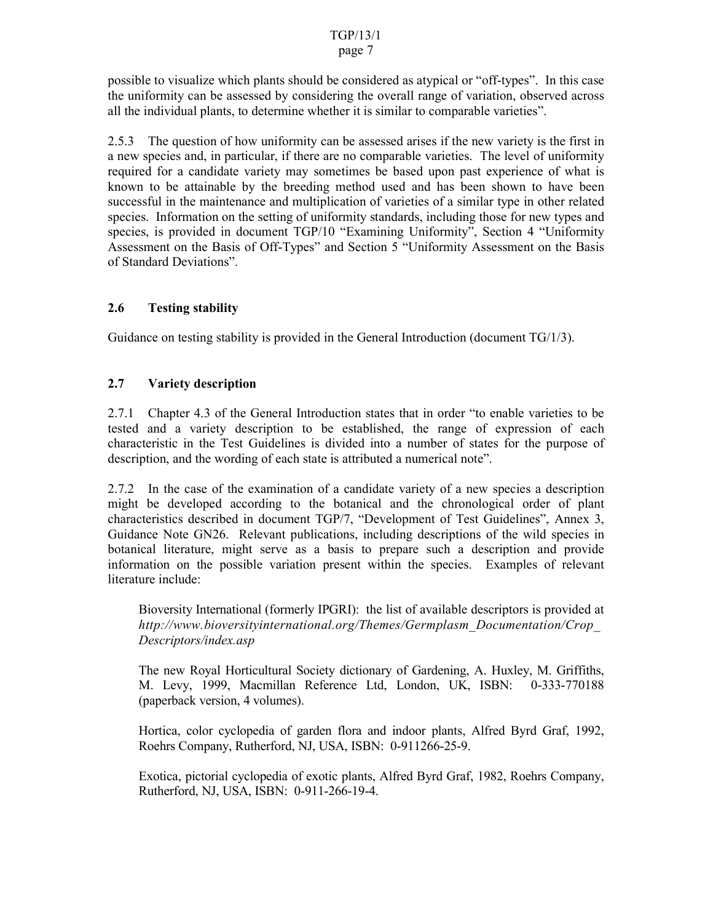#### TGP/13/1

#### page 7

possible to visualize which plants should be considered as atypical or "off-types". In this case the uniformity can be assessed by considering the overall range of variation, observed across all the individual plants, to determine whether it is similar to comparable varieties".

2.5.3 The question of how uniformity can be assessed arises if the new variety is the first in a new species and, in particular, if there are no comparable varieties. The level of uniformity required for a candidate variety may sometimes be based upon past experience of what is known to be attainable by the breeding method used and has been shown to have been successful in the maintenance and multiplication of varieties of a similar type in other related species. Information on the setting of uniformity standards, including those for new types and species, is provided in document TGP/10 "Examining Uniformity", Section 4 "Uniformity Assessment on the Basis of Off-Types" and Section 5 "Uniformity Assessment on the Basis of Standard Deviations".

# **2.6 Testing stability**

Guidance on testing stability is provided in the General Introduction (document  $TG/1/3$ ).

## **2.7 Variety description**

2.7.1 Chapter 4.3 of the General Introduction states that in order "to enable varieties to be tested and a variety description to be established, the range of expression of each characteristic in the Test Guidelines is divided into a number of states for the purpose of description, and the wording of each state is attributed a numerical note".

2.7.2 In the case of the examination of a candidate variety of a new species a description might be developed according to the botanical and the chronological order of plant characteristics described in document TGP/7, "Development of Test Guidelines", Annex 3, Guidance Note GN26. Relevant publications, including descriptions of the wild species in botanical literature, might serve as a basis to prepare such a description and provide information on the possible variation present within the species. Examples of relevant literature include:

Bioversity International (formerly IPGRI): the list of available descriptors is provided at *http://www.bioversityinternational.org/Themes/Germplasm\_Documentation/Crop\_ Descriptors/index.asp*

The new Royal Horticultural Society dictionary of Gardening, A. Huxley, M. Griffiths, M. Levy, 1999, Macmillan Reference Ltd, London, UK, ISBN: 0-333-770188 (paperback version, 4 volumes).

Hortica, color cyclopedia of garden flora and indoor plants, Alfred Byrd Graf, 1992, Roehrs Company, Rutherford, NJ, USA, ISBN: 0-911266-25-9.

Exotica, pictorial cyclopedia of exotic plants, Alfred Byrd Graf, 1982, Roehrs Company, Rutherford, NJ, USA, ISBN: 0-911-266-19-4.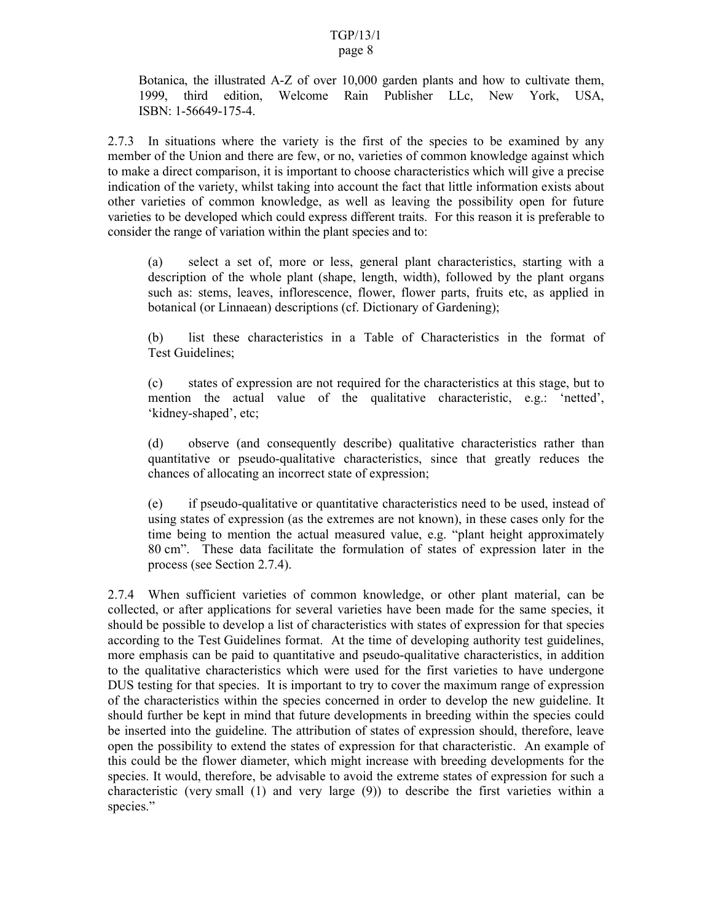Botanica, the illustrated A-Z of over 10,000 garden plants and how to cultivate them, 1999, third edition, Welcome Rain Publisher LLc, New York, USA, ISBN: 1-56649-175-4.

2.7.3 In situations where the variety is the first of the species to be examined by any member of the Union and there are few, or no, varieties of common knowledge against which to make a direct comparison, it is important to choose characteristics which will give a precise indication of the variety, whilst taking into account the fact that little information exists about other varieties of common knowledge, as well as leaving the possibility open for future varieties to be developed which could express different traits. For this reason it is preferable to consider the range of variation within the plant species and to:

(a) select a set of, more or less, general plant characteristics, starting with a description of the whole plant (shape, length, width), followed by the plant organs such as: stems, leaves, inflorescence, flower, flower parts, fruits etc, as applied in botanical (or Linnaean) descriptions (cf. Dictionary of Gardening);

(b) list these characteristics in a Table of Characteristics in the format of Test Guidelines;

(c) states of expression are not required for the characteristics at this stage, but to mention the actual value of the qualitative characteristic, e.g.: 'netted', 'kidney-shaped', etc;

(d) observe (and consequently describe) qualitative characteristics rather than quantitative or pseudo-qualitative characteristics, since that greatly reduces the chances of allocating an incorrect state of expression;

(e) if pseudo-qualitative or quantitative characteristics need to be used, instead of using states of expression (as the extremes are not known), in these cases only for the time being to mention the actual measured value, e.g. "plant height approximately 80 cm". These data facilitate the formulation of states of expression later in the process (see Section 2.7.4).

2.7.4 When sufficient varieties of common knowledge, or other plant material, can be collected, or after applications for several varieties have been made for the same species, it should be possible to develop a list of characteristics with states of expression for that species according to the Test Guidelines format. At the time of developing authority test guidelines, more emphasis can be paid to quantitative and pseudo-qualitative characteristics, in addition to the qualitative characteristics which were used for the first varieties to have undergone DUS testing for that species. It is important to try to cover the maximum range of expression of the characteristics within the species concerned in order to develop the new guideline. It should further be kept in mind that future developments in breeding within the species could be inserted into the guideline. The attribution of states of expression should, therefore, leave open the possibility to extend the states of expression for that characteristic. An example of this could be the flower diameter, which might increase with breeding developments for the species. It would, therefore, be advisable to avoid the extreme states of expression for such a characteristic (very small (1) and very large (9)) to describe the first varieties within a species."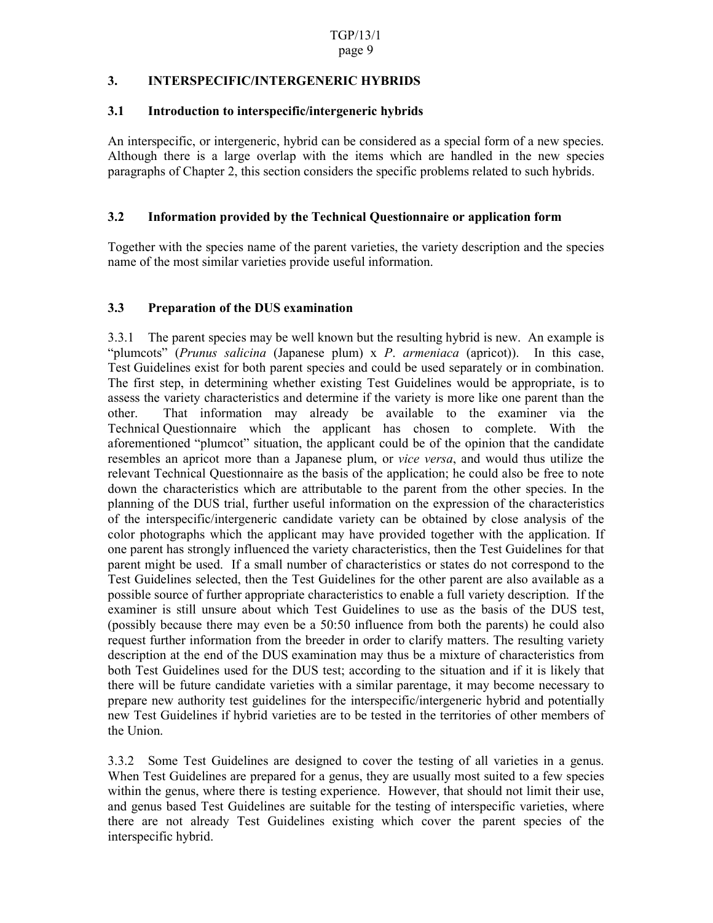#### **3. INTERSPECIFIC/INTERGENERIC HYBRIDS**

#### **3.1 Introduction to interspecific/intergeneric hybrids**

An interspecific, or intergeneric, hybrid can be considered as a special form of a new species. Although there is a large overlap with the items which are handled in the new species paragraphs of Chapter 2, this section considers the specific problems related to such hybrids.

## **3.2 Information provided by the Technical Questionnaire or application form**

Together with the species name of the parent varieties, the variety description and the species name of the most similar varieties provide useful information.

## **3.3 Preparation of the DUS examination**

3.3.1 The parent species may be well known but the resulting hybrid is new. An example is "plumcots" (*Prunus salicina* (Japanese plum) x *P*. *armeniaca* (apricot)). In this case, Test Guidelines exist for both parent species and could be used separately or in combination. The first step, in determining whether existing Test Guidelines would be appropriate, is to assess the variety characteristics and determine if the variety is more like one parent than the other. That information may already be available to the examiner via the Technical Questionnaire which the applicant has chosen to complete. With the aforementioned "plumcot" situation, the applicant could be of the opinion that the candidate resembles an apricot more than a Japanese plum, or *vice versa*, and would thus utilize the relevant Technical Questionnaire as the basis of the application; he could also be free to note down the characteristics which are attributable to the parent from the other species. In the planning of the DUS trial, further useful information on the expression of the characteristics of the interspecific/intergeneric candidate variety can be obtained by close analysis of the color photographs which the applicant may have provided together with the application. If one parent has strongly influenced the variety characteristics, then the Test Guidelines for that parent might be used. If a small number of characteristics or states do not correspond to the Test Guidelines selected, then the Test Guidelines for the other parent are also available as a possible source of further appropriate characteristics to enable a full variety description. If the examiner is still unsure about which Test Guidelines to use as the basis of the DUS test, (possibly because there may even be a 50:50 influence from both the parents) he could also request further information from the breeder in order to clarify matters. The resulting variety description at the end of the DUS examination may thus be a mixture of characteristics from both Test Guidelines used for the DUS test; according to the situation and if it is likely that there will be future candidate varieties with a similar parentage, it may become necessary to prepare new authority test guidelines for the interspecific/intergeneric hybrid and potentially new Test Guidelines if hybrid varieties are to be tested in the territories of other members of the Union.

3.3.2 Some Test Guidelines are designed to cover the testing of all varieties in a genus. When Test Guidelines are prepared for a genus, they are usually most suited to a few species within the genus, where there is testing experience. However, that should not limit their use, and genus based Test Guidelines are suitable for the testing of interspecific varieties, where there are not already Test Guidelines existing which cover the parent species of the interspecific hybrid.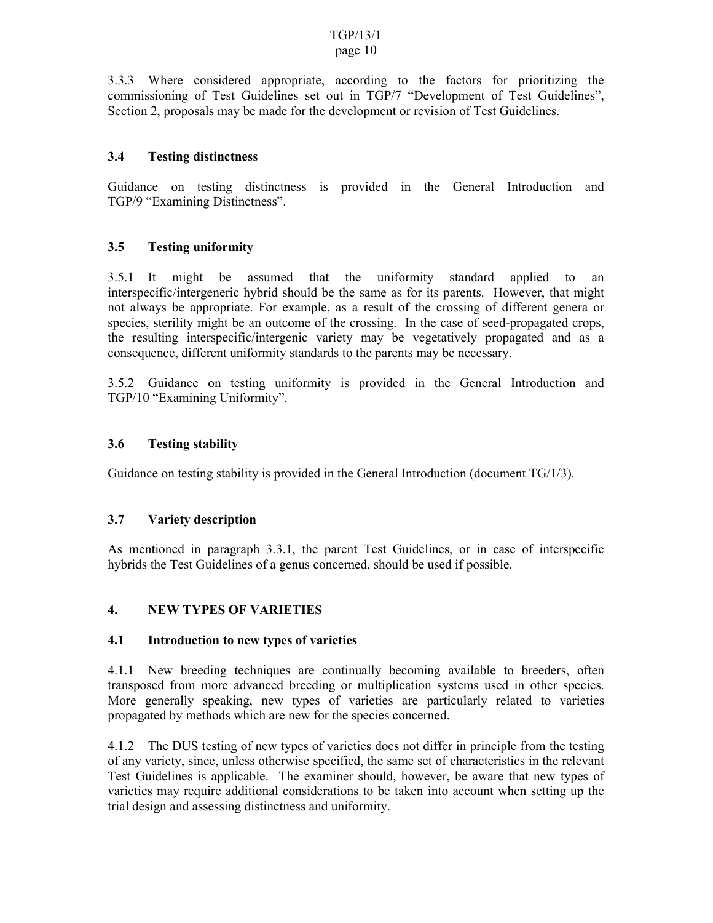#### TGP/13/1 page 10

#### 3.3.3 Where considered appropriate, according to the factors for prioritizing the commissioning of Test Guidelines set out in TGP/7 "Development of Test Guidelines", Section 2, proposals may be made for the development or revision of Test Guidelines.

## **3.4 Testing distinctness**

Guidance on testing distinctness is provided in the General Introduction and TGP/9 "Examining Distinctness".

#### **3.5 Testing uniformity**

3.5.1 It might be assumed that the uniformity standard applied to an interspecific/intergeneric hybrid should be the same as for its parents. However, that might not always be appropriate. For example, as a result of the crossing of different genera or species, sterility might be an outcome of the crossing. In the case of seed-propagated crops, the resulting interspecific/intergenic variety may be vegetatively propagated and as a consequence, different uniformity standards to the parents may be necessary.

3.5.2 Guidance on testing uniformity is provided in the General Introduction and TGP/10 "Examining Uniformity".

#### **3.6 Testing stability**

Guidance on testing stability is provided in the General Introduction (document TG/1/3).

#### **3.7 Variety description**

As mentioned in paragraph 3.3.1, the parent Test Guidelines, or in case of interspecific hybrids the Test Guidelines of a genus concerned, should be used if possible.

#### **4. NEW TYPES OF VARIETIES**

#### **4.1 Introduction to new types of varieties**

4.1.1 New breeding techniques are continually becoming available to breeders, often transposed from more advanced breeding or multiplication systems used in other species. More generally speaking, new types of varieties are particularly related to varieties propagated by methods which are new for the species concerned.

4.1.2 The DUS testing of new types of varieties does not differ in principle from the testing of any variety, since, unless otherwise specified, the same set of characteristics in the relevant Test Guidelines is applicable. The examiner should, however, be aware that new types of varieties may require additional considerations to be taken into account when setting up the trial design and assessing distinctness and uniformity.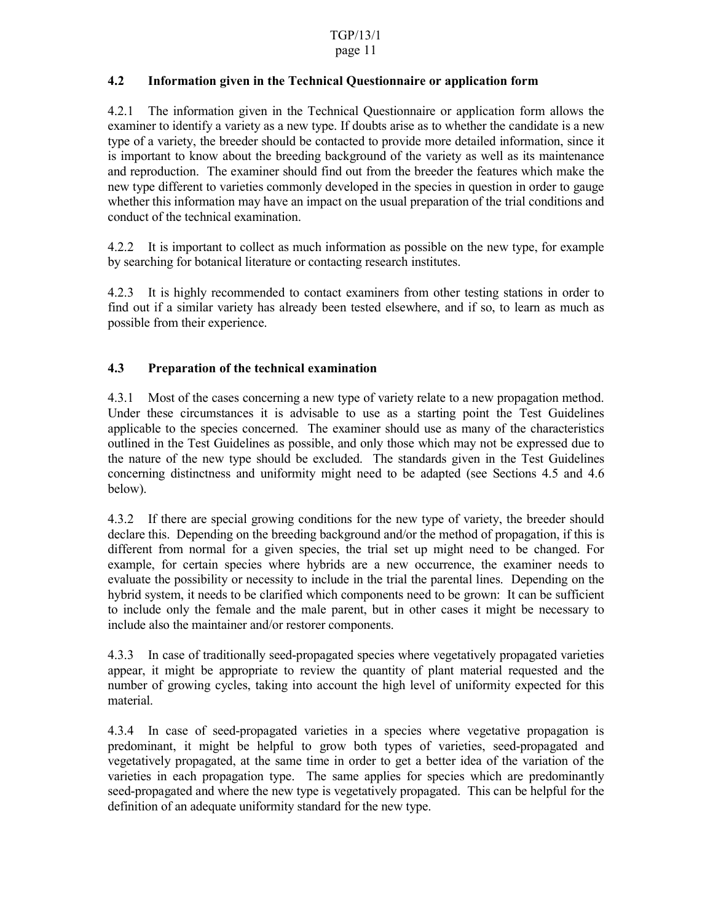#### TGP/13/1

#### page 11

#### **4.2 Information given in the Technical Questionnaire or application form**

4.2.1 The information given in the Technical Questionnaire or application form allows the examiner to identify a variety as a new type. If doubts arise as to whether the candidate is a new type of a variety, the breeder should be contacted to provide more detailed information, since it is important to know about the breeding background of the variety as well as its maintenance and reproduction. The examiner should find out from the breeder the features which make the new type different to varieties commonly developed in the species in question in order to gauge whether this information may have an impact on the usual preparation of the trial conditions and conduct of the technical examination.

4.2.2 It is important to collect as much information as possible on the new type, for example by searching for botanical literature or contacting research institutes.

4.2.3 It is highly recommended to contact examiners from other testing stations in order to find out if a similar variety has already been tested elsewhere, and if so, to learn as much as possible from their experience.

## **4.3 Preparation of the technical examination**

4.3.1 Most of the cases concerning a new type of variety relate to a new propagation method. Under these circumstances it is advisable to use as a starting point the Test Guidelines applicable to the species concerned. The examiner should use as many of the characteristics outlined in the Test Guidelines as possible, and only those which may not be expressed due to the nature of the new type should be excluded. The standards given in the Test Guidelines concerning distinctness and uniformity might need to be adapted (see Sections 4.5 and 4.6 below).

4.3.2 If there are special growing conditions for the new type of variety, the breeder should declare this. Depending on the breeding background and/or the method of propagation, if this is different from normal for a given species, the trial set up might need to be changed. For example, for certain species where hybrids are a new occurrence, the examiner needs to evaluate the possibility or necessity to include in the trial the parental lines. Depending on the hybrid system, it needs to be clarified which components need to be grown: It can be sufficient to include only the female and the male parent, but in other cases it might be necessary to include also the maintainer and/or restorer components.

4.3.3 In case of traditionally seed-propagated species where vegetatively propagated varieties appear, it might be appropriate to review the quantity of plant material requested and the number of growing cycles, taking into account the high level of uniformity expected for this material.

4.3.4 In case of seed-propagated varieties in a species where vegetative propagation is predominant, it might be helpful to grow both types of varieties, seed-propagated and vegetatively propagated, at the same time in order to get a better idea of the variation of the varieties in each propagation type. The same applies for species which are predominantly seed-propagated and where the new type is vegetatively propagated. This can be helpful for the definition of an adequate uniformity standard for the new type.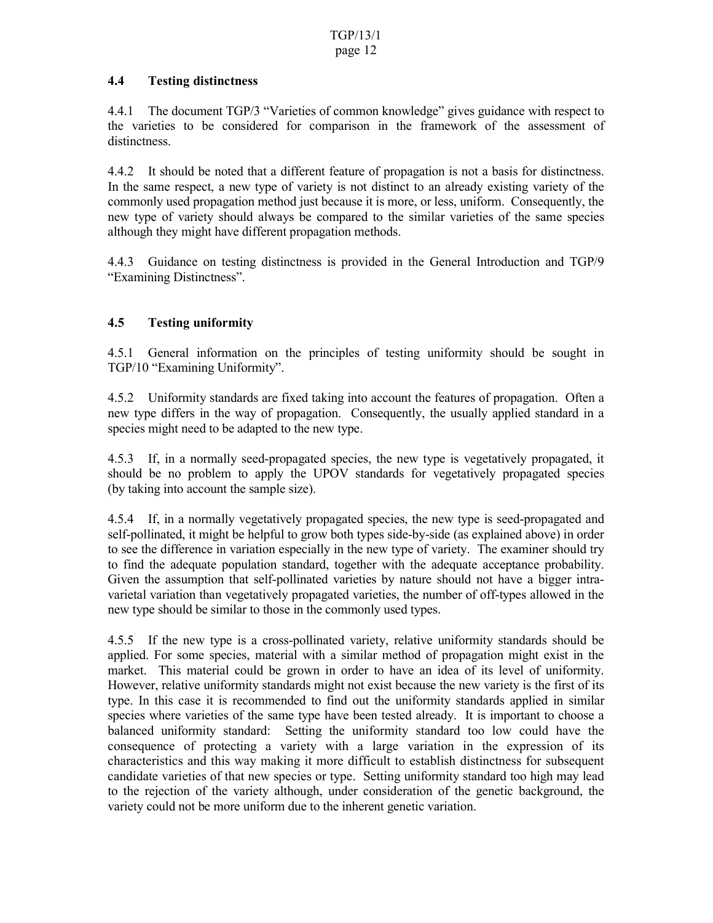#### **4.4 Testing distinctness**

4.4.1 The document TGP/3 "Varieties of common knowledge" gives guidance with respect to the varieties to be considered for comparison in the framework of the assessment of distinctness.

4.4.2 It should be noted that a different feature of propagation is not a basis for distinctness. In the same respect, a new type of variety is not distinct to an already existing variety of the commonly used propagation method just because it is more, or less, uniform. Consequently, the new type of variety should always be compared to the similar varieties of the same species although they might have different propagation methods.

4.4.3 Guidance on testing distinctness is provided in the General Introduction and TGP/9 "Examining Distinctness".

# **4.5 Testing uniformity**

4.5.1 General information on the principles of testing uniformity should be sought in TGP/10 "Examining Uniformity".

4.5.2 Uniformity standards are fixed taking into account the features of propagation. Often a new type differs in the way of propagation. Consequently, the usually applied standard in a species might need to be adapted to the new type.

4.5.3 If, in a normally seed-propagated species, the new type is vegetatively propagated, it should be no problem to apply the UPOV standards for vegetatively propagated species (by taking into account the sample size).

4.5.4 If, in a normally vegetatively propagated species, the new type is seed-propagated and self-pollinated, it might be helpful to grow both types side-by-side (as explained above) in order to see the difference in variation especially in the new type of variety. The examiner should try to find the adequate population standard, together with the adequate acceptance probability. Given the assumption that self-pollinated varieties by nature should not have a bigger intravarietal variation than vegetatively propagated varieties, the number of off-types allowed in the new type should be similar to those in the commonly used types.

4.5.5 If the new type is a cross-pollinated variety, relative uniformity standards should be applied. For some species, material with a similar method of propagation might exist in the market. This material could be grown in order to have an idea of its level of uniformity. However, relative uniformity standards might not exist because the new variety is the first of its type. In this case it is recommended to find out the uniformity standards applied in similar species where varieties of the same type have been tested already. It is important to choose a balanced uniformity standard: Setting the uniformity standard too low could have the consequence of protecting a variety with a large variation in the expression of its characteristics and this way making it more difficult to establish distinctness for subsequent candidate varieties of that new species or type. Setting uniformity standard too high may lead to the rejection of the variety although, under consideration of the genetic background, the variety could not be more uniform due to the inherent genetic variation.